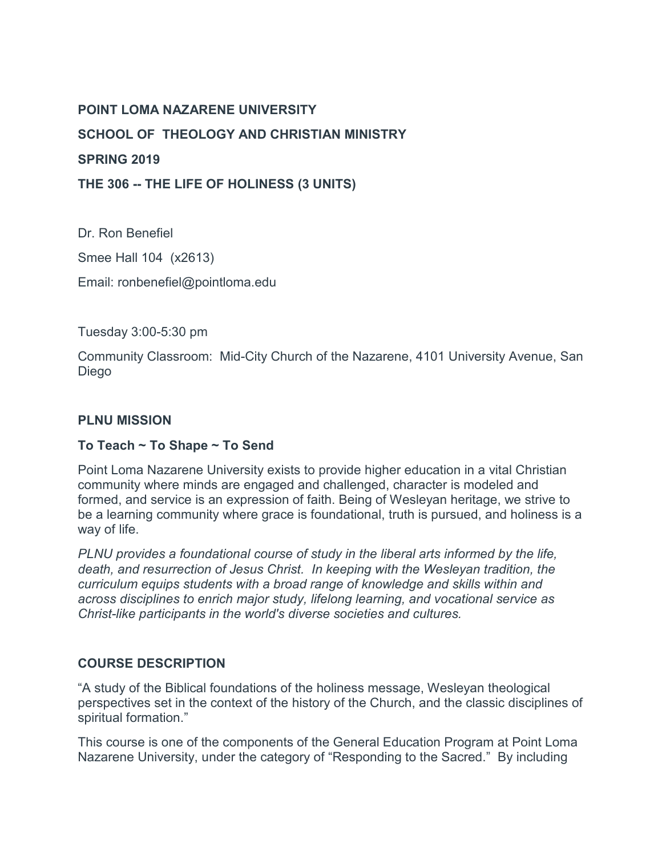### **POINT LOMA NAZARENE UNIVERSITY**

**SCHOOL OF THEOLOGY AND CHRISTIAN MINISTRY**

### **SPRING 2019**

**THE 306 -- THE LIFE OF HOLINESS (3 UNITS)**

Dr. Ron Benefiel Smee Hall 104 (x2613) Email: ronbenefiel@pointloma.edu

Tuesday 3:00-5:30 pm

Community Classroom: Mid-City Church of the Nazarene, 4101 University Avenue, San Diego

### **PLNU MISSION**

# **To Teach ~ To Shape ~ To Send**

Point Loma Nazarene University exists to provide higher education in a vital Christian community where minds are engaged and challenged, character is modeled and formed, and service is an expression of faith. Being of Wesleyan heritage, we strive to be a learning community where grace is foundational, truth is pursued, and holiness is a way of life.

*PLNU provides a foundational course of study in the liberal arts informed by the life, death, and resurrection of Jesus Christ. In keeping with the Wesleyan tradition, the curriculum equips students with a broad range of knowledge and skills within and across disciplines to enrich major study, lifelong learning, and vocational service as Christ-like participants in the world's diverse societies and cultures.*

# **COURSE DESCRIPTION**

"A study of the Biblical foundations of the holiness message, Wesleyan theological perspectives set in the context of the history of the Church, and the classic disciplines of spiritual formation."

This course is one of the components of the General Education Program at Point Loma Nazarene University, under the category of "Responding to the Sacred." By including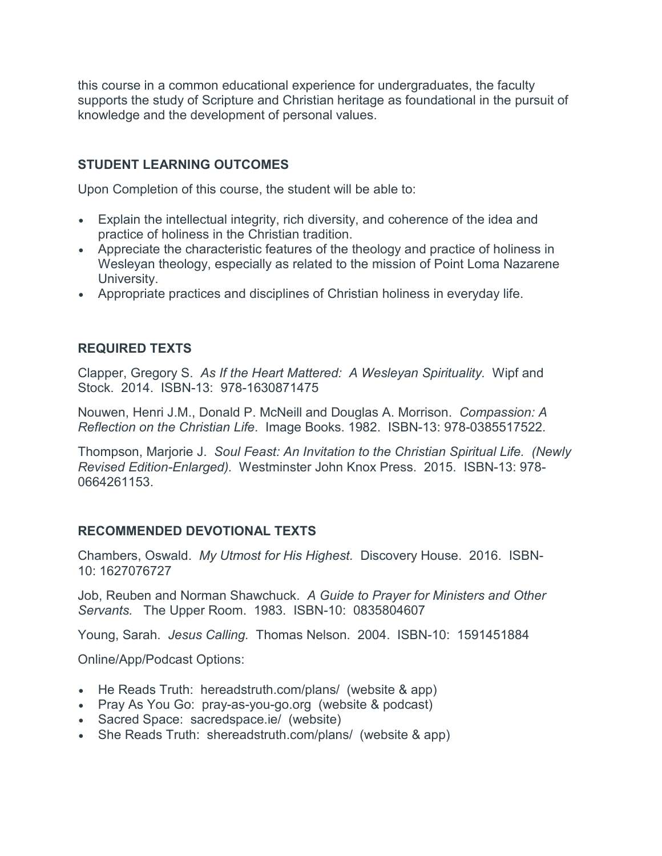this course in a common educational experience for undergraduates, the faculty supports the study of Scripture and Christian heritage as foundational in the pursuit of knowledge and the development of personal values.

# **STUDENT LEARNING OUTCOMES**

Upon Completion of this course, the student will be able to:

- Explain the intellectual integrity, rich diversity, and coherence of the idea and practice of holiness in the Christian tradition.
- Appreciate the characteristic features of the theology and practice of holiness in Wesleyan theology, especially as related to the mission of Point Loma Nazarene University.
- Appropriate practices and disciplines of Christian holiness in everyday life.

### **REQUIRED TEXTS**

Clapper, Gregory S. *As If the Heart Mattered: A Wesleyan Spirituality.* Wipf and Stock. 2014. ISBN-13: 978-1630871475

Nouwen, Henri J.M., Donald P. McNeill and Douglas A. Morrison. *Compassion: A Reflection on the Christian Life*. Image Books. 1982. ISBN-13: 978-0385517522.

Thompson, Marjorie J. *Soul Feast: An Invitation to the Christian Spiritual Life. (Newly Revised Edition-Enlarged).* Westminster John Knox Press. 2015.ISBN-13: 978- 0664261153.

### **RECOMMENDED DEVOTIONAL TEXTS**

Chambers, Oswald. *My Utmost for His Highest.* Discovery House. 2016. ISBN-10: 1627076727

Job, Reuben and Norman Shawchuck. *A Guide to Prayer for Ministers and Other Servants.* The Upper Room. 1983. ISBN-10: 0835804607

Young, Sarah. *Jesus Calling.* Thomas Nelson. 2004. ISBN-10: 1591451884

Online/App/Podcast Options:

- He Reads Truth: hereadstruth.com/plans/ (website & app)
- Pray As You Go: pray-as-you-go.org (website & podcast)
- Sacred Space: sacredspace.ie/ (website)
- She Reads Truth: shereadstruth.com/plans/ (website & app)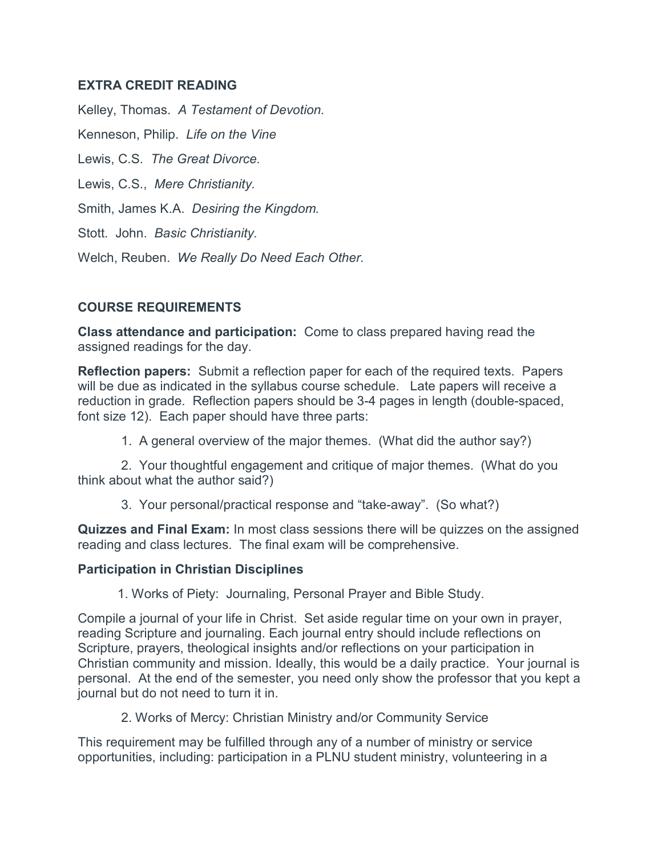### **EXTRA CREDIT READING**

Kelley, Thomas. *A Testament of Devotion.*  Kenneson, Philip. *Life on the Vine* Lewis, C.S. *The Great Divorce.*  Lewis, C.S., *Mere Christianity.* Smith, James K.A. *Desiring the Kingdom.* Stott. John. *Basic Christianity.*  Welch, Reuben. *We Really Do Need Each Other.*

# **COURSE REQUIREMENTS**

**Class attendance and participation:** Come to class prepared having read the assigned readings for the day.

**Reflection papers:** Submit a reflection paper for each of the required texts. Papers will be due as indicated in the syllabus course schedule. Late papers will receive a reduction in grade. Reflection papers should be 3-4 pages in length (double-spaced, font size 12). Each paper should have three parts:

1. A general overview of the major themes. (What did the author say?)

2. Your thoughtful engagement and critique of major themes. (What do you think about what the author said?)

3. Your personal/practical response and "take-away". (So what?)

**Quizzes and Final Exam:** In most class sessions there will be quizzes on the assigned reading and class lectures. The final exam will be comprehensive.

### **Participation in Christian Disciplines**

1. Works of Piety: Journaling, Personal Prayer and Bible Study.

Compile a journal of your life in Christ. Set aside regular time on your own in prayer, reading Scripture and journaling. Each journal entry should include reflections on Scripture, prayers, theological insights and/or reflections on your participation in Christian community and mission. Ideally, this would be a daily practice. Your journal is personal. At the end of the semester, you need only show the professor that you kept a journal but do not need to turn it in.

2. Works of Mercy: Christian Ministry and/or Community Service

This requirement may be fulfilled through any of a number of ministry or service opportunities, including: participation in a PLNU student ministry, volunteering in a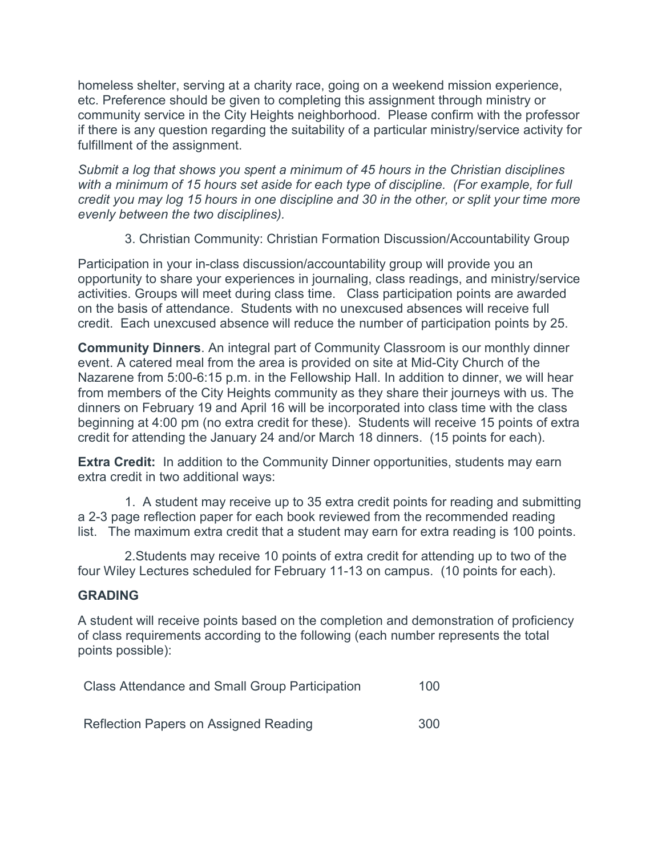homeless shelter, serving at a charity race, going on a weekend mission experience, etc. Preference should be given to completing this assignment through ministry or community service in the City Heights neighborhood. Please confirm with the professor if there is any question regarding the suitability of a particular ministry/service activity for fulfillment of the assignment.

*Submit a log that shows you spent a minimum of 45 hours in the Christian disciplines with a minimum of 15 hours set aside for each type of discipline. (For example, for full credit you may log 15 hours in one discipline and 30 in the other, or split your time more evenly between the two disciplines).*

3. Christian Community: Christian Formation Discussion/Accountability Group

Participation in your in-class discussion/accountability group will provide you an opportunity to share your experiences in journaling, class readings, and ministry/service activities. Groups will meet during class time. Class participation points are awarded on the basis of attendance. Students with no unexcused absences will receive full credit. Each unexcused absence will reduce the number of participation points by 25.

**Community Dinners**. An integral part of Community Classroom is our monthly dinner event. A catered meal from the area is provided on site at Mid-City Church of the Nazarene from 5:00-6:15 p.m. in the Fellowship Hall. In addition to dinner, we will hear from members of the City Heights community as they share their journeys with us. The dinners on February 19 and April 16 will be incorporated into class time with the class beginning at 4:00 pm (no extra credit for these). Students will receive 15 points of extra credit for attending the January 24 and/or March 18 dinners. (15 points for each).

**Extra Credit:** In addition to the Community Dinner opportunities, students may earn extra credit in two additional ways:

1. A student may receive up to 35 extra credit points for reading and submitting a 2-3 page reflection paper for each book reviewed from the recommended reading list. The maximum extra credit that a student may earn for extra reading is 100 points.

2.Students may receive 10 points of extra credit for attending up to two of the four Wiley Lectures scheduled for February 11-13 on campus. (10 points for each).

# **GRADING**

A student will receive points based on the completion and demonstration of proficiency of class requirements according to the following (each number represents the total points possible):

| <b>Class Attendance and Small Group Participation</b> |  |  |
|-------------------------------------------------------|--|--|
|                                                       |  |  |

Reflection Papers on Assigned Reading 300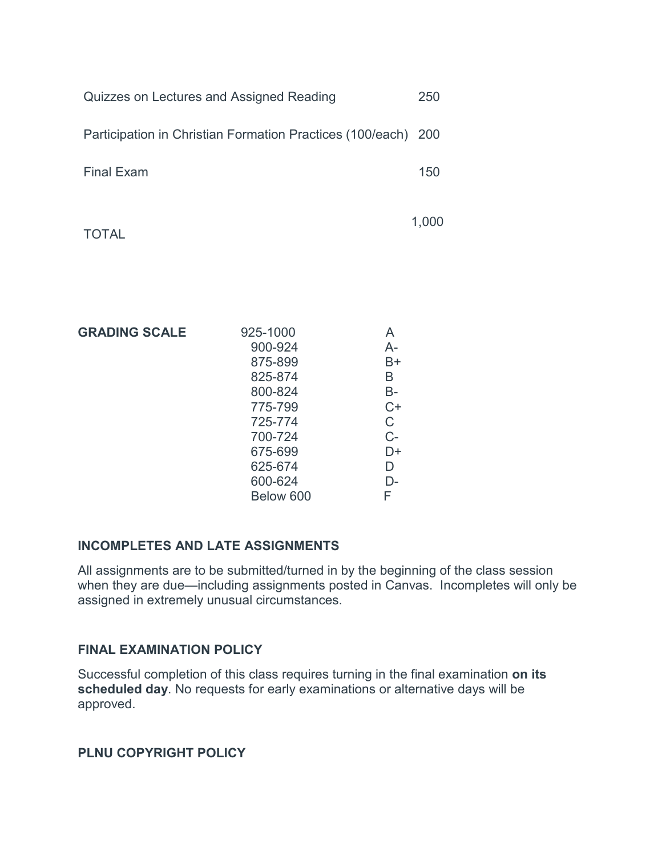| Quizzes on Lectures and Assigned Reading                      | 250 |
|---------------------------------------------------------------|-----|
| Participation in Christian Formation Practices (100/each) 200 |     |
| <b>Final Exam</b>                                             | 150 |
|                                                               |     |

TOTAL

1,000

| <b>GRADING SCALE</b> | 925-1000  | A    |
|----------------------|-----------|------|
|                      | 900-924   | A-   |
|                      | 875-899   | B+   |
|                      | 825-874   | В    |
|                      | 800-824   | B-   |
|                      | 775-799   | $C+$ |
|                      | 725-774   | C    |
|                      | 700-724   | C-   |
|                      | 675-699   | D+   |
|                      | 625-674   | D    |
|                      | 600-624   | D-   |
|                      | Below 600 | F    |

### **INCOMPLETES AND LATE ASSIGNMENTS**

All assignments are to be submitted/turned in by the beginning of the class session when they are due—including assignments posted in Canvas. Incompletes will only be assigned in extremely unusual circumstances.

### **FINAL EXAMINATION POLICY**

Successful completion of this class requires turning in the final examination **on its scheduled day**. No requests for early examinations or alternative days will be approved.

**PLNU COPYRIGHT POLICY**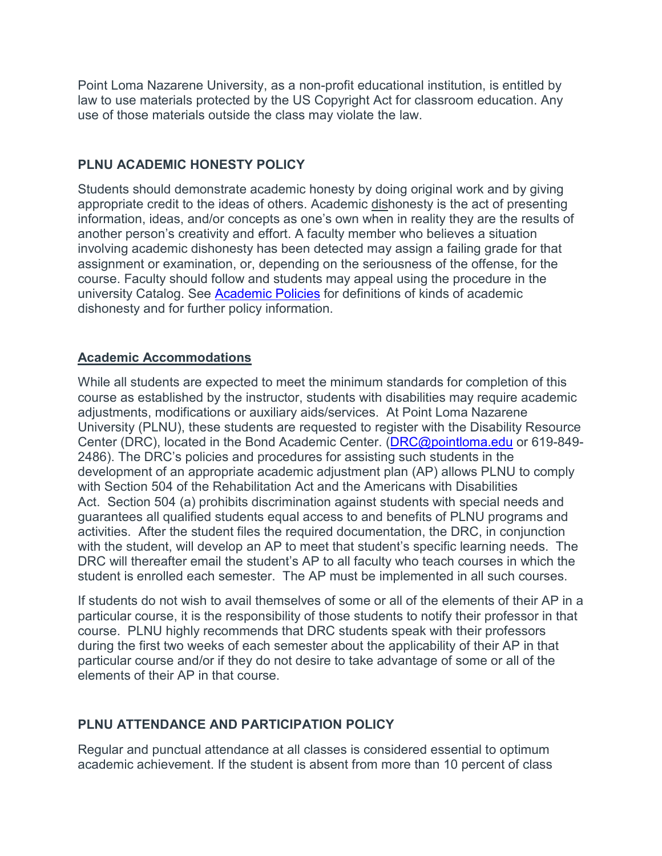Point Loma Nazarene University, as a non-profit educational institution, is entitled by law to use materials protected by the US Copyright Act for classroom education. Any use of those materials outside the class may violate the law.

# **PLNU ACADEMIC HONESTY POLICY**

Students should demonstrate academic honesty by doing original work and by giving appropriate credit to the ideas of others. Academic dishonesty is the act of presenting information, ideas, and/or concepts as one's own when in reality they are the results of another person's creativity and effort. A faculty member who believes a situation involving academic dishonesty has been detected may assign a failing grade for that assignment or examination, or, depending on the seriousness of the offense, for the course. Faculty should follow and students may appeal using the procedure in the university Catalog. See [Academic Policies](http://catalog.pointloma.edu/content.php?catoid=18&navoid=1278) for definitions of kinds of academic dishonesty and for further policy information.

# **Academic Accommodations**

While all students are expected to meet the minimum standards for completion of this course as established by the instructor, students with disabilities may require academic adjustments, modifications or auxiliary aids/services. At Point Loma Nazarene University (PLNU), these students are requested to register with the Disability Resource Center (DRC), located in the Bond Academic Center. [\(DRC@pointloma.edu](mailto:DRC@pointloma.edu) or 619-849- 2486). The DRC's policies and procedures for assisting such students in the development of an appropriate academic adjustment plan (AP) allows PLNU to comply with Section 504 of the Rehabilitation Act and the Americans with Disabilities Act. Section 504 (a) prohibits discrimination against students with special needs and guarantees all qualified students equal access to and benefits of PLNU programs and activities. After the student files the required documentation, the DRC, in conjunction with the student, will develop an AP to meet that student's specific learning needs. The DRC will thereafter email the student's AP to all faculty who teach courses in which the student is enrolled each semester. The AP must be implemented in all such courses.

If students do not wish to avail themselves of some or all of the elements of their AP in a particular course, it is the responsibility of those students to notify their professor in that course. PLNU highly recommends that DRC students speak with their professors during the first two weeks of each semester about the applicability of their AP in that particular course and/or if they do not desire to take advantage of some or all of the elements of their AP in that course.

# **PLNU ATTENDANCE AND PARTICIPATION POLICY**

Regular and punctual attendance at all classes is considered essential to optimum academic achievement. If the student is absent from more than 10 percent of class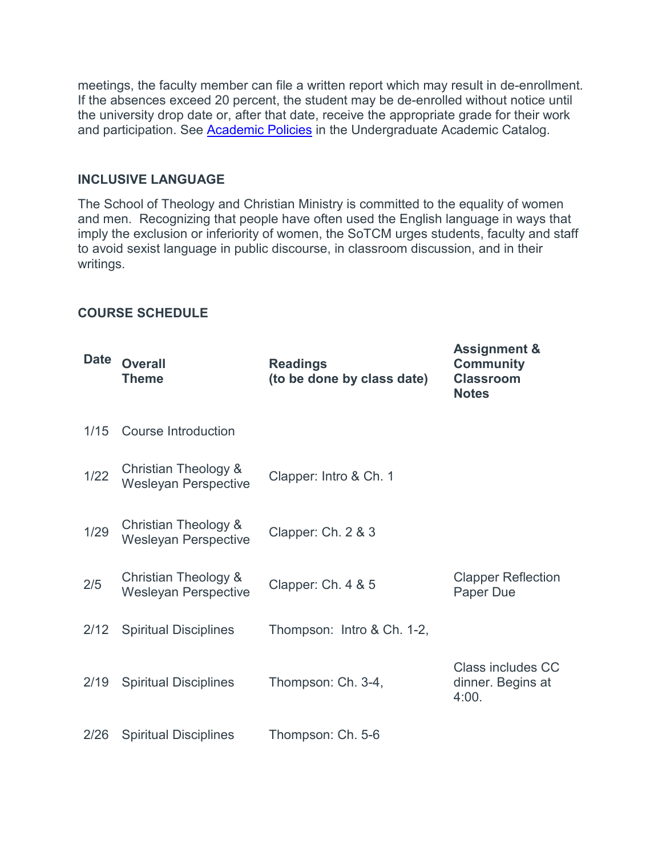meetings, the faculty member can file a written report which may result in de-enrollment. If the absences exceed 20 percent, the student may be de-enrolled without notice until the university drop date or, after that date, receive the appropriate grade for their work and participation. See [Academic Policies](http://catalog.pointloma.edu/content.php?catoid=18&navoid=1278) in the Undergraduate Academic Catalog.

#### **INCLUSIVE LANGUAGE**

The School of Theology and Christian Ministry is committed to the equality of women and men. Recognizing that people have often used the English language in ways that imply the exclusion or inferiority of women, the SoTCM urges students, faculty and staff to avoid sexist language in public discourse, in classroom discussion, and in their writings.

### **COURSE SCHEDULE**

| <b>Date</b> | <b>Overall</b><br><b>Theme</b>                      | <b>Readings</b><br>(to be done by class date) | <b>Assignment &amp;</b><br><b>Community</b><br><b>Classroom</b><br><b>Notes</b> |
|-------------|-----------------------------------------------------|-----------------------------------------------|---------------------------------------------------------------------------------|
| 1/15        | Course Introduction                                 |                                               |                                                                                 |
| $1/22$      | Christian Theology &<br><b>Wesleyan Perspective</b> | Clapper: Intro & Ch. 1                        |                                                                                 |
| 1/29        | Christian Theology &<br><b>Wesleyan Perspective</b> | Clapper: Ch. 2 & 3                            |                                                                                 |
| 2/5         | Christian Theology &<br><b>Wesleyan Perspective</b> | Clapper: Ch. 4 & 5                            | <b>Clapper Reflection</b><br>Paper Due                                          |
| 2/12        | <b>Spiritual Disciplines</b>                        | Thompson: Intro & Ch. 1-2,                    |                                                                                 |
| 2/19        | <b>Spiritual Disciplines</b>                        | Thompson: Ch. 3-4,                            | Class includes CC<br>dinner. Begins at<br>4:00.                                 |
| 2/26        | <b>Spiritual Disciplines</b>                        | Thompson: Ch. 5-6                             |                                                                                 |